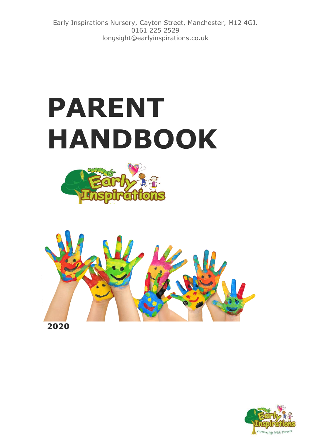Early Inspirations Nursery, Cayton Street, Manchester, M12 4GJ. 0161 225 2529 longsight@earlyinspirations.co.uk

# **PARENT HANDBOOK**





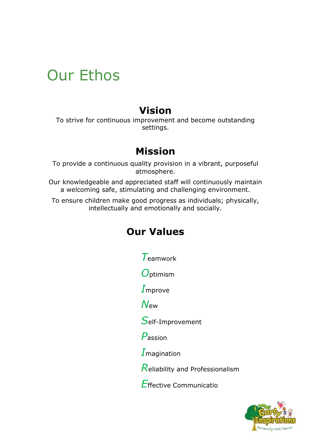### Our Ethos

#### **Vision**

To strive for continuous improvement and become outstanding settings.

#### **Mission**

To provide a continuous quality provision in a vibrant, purposeful atmosphere.

Our knowledgeable and appreciated staff will continuously maintain a welcoming safe, stimulating and challenging environment.

To ensure children make good progress as individuals; physically, intellectually and emotionally and socially.

#### **Our Values**

*T*eamwork

*O*ptimism

*I*mprove

*N*ew

*S*elf-Improvement

*P*assion

*I*magination

*R*eliability and Professionalism

*E*ffective Communicatio

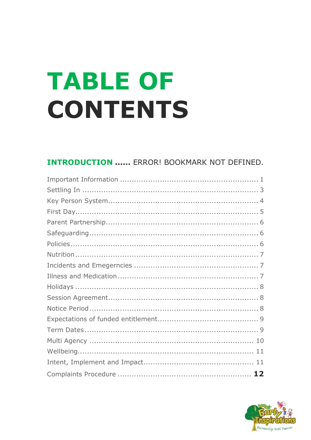# **TABLE OF CONTENTS**

#### **INTRODUCTION ...... ERROR! BOOKMARK NOT DEFINED.**

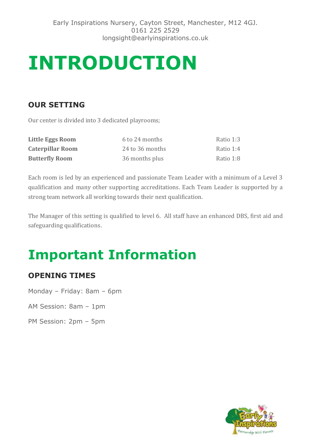## **INTRODUCTION**

#### **OUR SETTING**

Our center is divided into 3 dedicated playrooms;

| Little Eggs Room        | 6 to 24 months  | Ratio 1:3 |
|-------------------------|-----------------|-----------|
| <b>Caterpillar Room</b> | 24 to 36 months | Ratio 1:4 |
| <b>Butterfly Room</b>   | 36 months plus  | Ratio 1:8 |

Each room is led by an experienced and passionate Team Leader with a minimum of a Level 3 qualification and many other supporting accreditations. Each Team Leader is supported by a strong team network all working towards their next qualification.

The Manager of this setting is qualified to level 6. All staff have an enhanced DBS, first aid and safeguarding qualifications.

### **Important Information**

#### **OPENING TIMES**

Monday – Friday: 8am – 6pm

AM Session: 8am – 1pm

PM Session: 2pm – 5pm

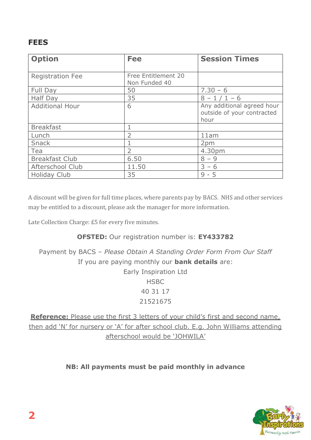#### **FEES**

| <b>Option</b>           | <b>Fee</b>                           | <b>Session Times</b>                                             |
|-------------------------|--------------------------------------|------------------------------------------------------------------|
| <b>Registration Fee</b> | Free Entitlement 20<br>Non Funded 40 |                                                                  |
| Full Day                | 50                                   | $7.30 - 6$                                                       |
| Half Day                | 35                                   | $8 - 1/1 - 6$                                                    |
| <b>Additional Hour</b>  | 6                                    | Any additional agreed hour<br>outside of your contracted<br>hour |
| <b>Breakfast</b>        |                                      |                                                                  |
| Lunch                   |                                      | 11am                                                             |
| Snack                   |                                      | 2pm                                                              |
| Tea                     | $\overline{\phantom{a}}$             | 4.30pm                                                           |
| <b>Breakfast Club</b>   | 6.50                                 | $8 - 9$                                                          |
| Afterschool Club        | 11.50                                | $3 - 6$                                                          |
| <b>Holiday Club</b>     | 35                                   | $9 - 5$                                                          |

A discount will be given for full time places, where parents pay by BACS. NHS and other services may be entitled to a discount, please ask the manager for more information.

Late Collection Charge: £5 for every five minutes.

#### **OFSTED:** Our registration number is: **EY433782**

Payment by BACS – *Please Obtain A Standing Order Form From Our Staff*  If you are paying monthly our **bank details** are: Early Inspiration Ltd **HSBC** 40 31 17 21521675

**Reference:** Please use the first 3 letters of your child's first and second name, then add 'N' for nursery or 'A' for after school club. E.g. John Williams attending afterschool would be 'JOHWILA'

#### **NB: All payments must be paid monthly in advance**

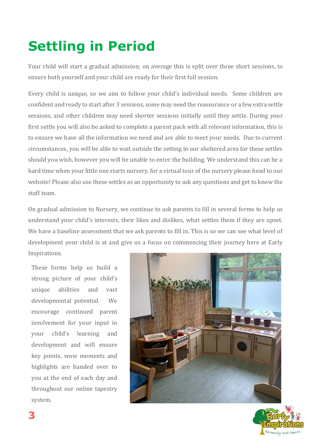### **Settling in Period**

Your child will start a gradual admission; on average this is split over three short sessions, to ensure both yourself and your child are ready for their first full session.

Every child is unique, so we aim to follow your child's individual needs. Some children are confident and ready to start after 3 sessions, some may need the reassurance or a few extra settle sessions, and other children may need shorter sessions initially until they settle. During your first settle you will also be asked to complete a parent pack with all relevant information, this is to ensure we have all the information we need and are able to meet your needs. Due to current circumstances, you will be able to wait outside the setting in our sheltered area for these settles should you wish, however you will be unable to enter the building. We understand this can be a hard time when your little one starts nursery, for a virtual tour of the nursery please head to our website! Please also use these settles as an opportunity to ask any questions and get to know the staff team.

On gradual admission to Nursery, we continue to ask parents to fill in several forms to help us understand your child's interests, their likes and dislikes, what settles them if they are upset. We have a baseline assessment that we ask parents to fill in. This is so we can see what level of development your child is at and give us a focus on commencing their journey here at Early Inspirations.

These forms help us build a strong picture of your child's unique abilities and vast developmental potential. We encourage continued parent involvement for your input in your child's learning and development and will ensure key points, wow moments and highlights are handed over to you at the end of each day and throughout our online tapestry system.



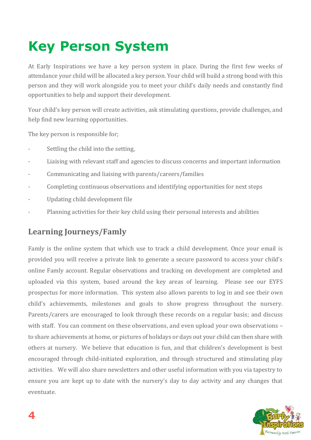### **Key Person System**

At Early Inspirations we have a key person system in place. During the first few weeks of attendance your child will be allocated a key person. Your child will build a strong bond with this person and they will work alongside you to meet your child's daily needs and constantly find opportunities to help and support their development.

Your child's key person will create activities, ask stimulating questions, provide challenges, and help find new learning opportunities.

The key person is responsible for;

- Settling the child into the setting,
- Liaising with relevant staff and agencies to discuss concerns and important information
- Communicating and liaising with parents/careers/families
- Completing continuous observations and identifying opportunities for next steps
- Updating child development file
- Planning activities for their key child using their personal interests and abilities

#### **Learning Journeys/Famly**

Famly is the online system that which use to track a child development. Once your email is provided you will receive a private link to generate a secure password to access your child's online Famly account. Regular observations and tracking on development are completed and uploaded via this system, based around the key areas of learning. Please see our EYFS prospectus for more information. This system also allows parents to log in and see their own child's achievements, milestones and goals to show progress throughout the nursery. Parents/carers are encouraged to look through these records on a regular basis; and discuss with staff. You can comment on these observations, and even upload your own observations – to share achievements at home, or pictures of holidays or days out your child can then share with others at nursery. We believe that education is fun, and that children's development is best encouraged through child-initiated exploration, and through structured and stimulating play activities. We will also share newsletters and other useful information with you via tapestry to ensure you are kept up to date with the nursery's day to day activity and any changes that eventuate.

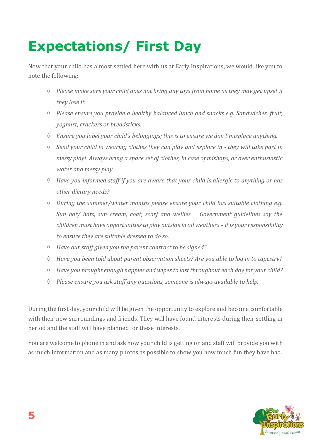### **Expectations/ First Day**

Now that your child has almost settled here with us at Early Inspirations, we would like you to note the following;

- *Please make sure your child does not bring any toys from home as they may get upset if they lose it.*
- *Please ensure you provide a healthy balanced lunch and snacks e.g. Sandwiches, fruit, yoghurt, crackers or breadsticks.*
- *Ensure you label your child's belongings; this is to ensure we don't misplace anything.*
- *Send your child in wearing clothes they can play and explore in - they will take part in messy play! Always bring a spare set of clothes, in case of mishaps, or over enthusiastic water and messy play.*
- *Have you informed staff if you are aware that your child is allergic to anything or has other dietary needs?*
- *During the summer/winter months please ensure your child has suitable clothing e.g. Sun hat/ hats, sun cream, coat, scarf and wellies. Government guidelines say the children must have opportunities to play outside in all weathers – it is your responsibility to ensure they are suitable dressed to do so.*
- *Have our staff given you the parent contract to be signed?*
- *Have you been told about parent observation sheets? Are you able to log in to tapestry?*
- *Have you brought enough nappies and wipes to last throughout each day for your child?*
- *Please ensure you ask staff any questions, someone is always available to help.*

During the first day, your child will be given the opportunity to explore and become comfortable with their new surroundings and friends. They will have found interests during their settling in period and the staff will have planned for these interests.

You are welcome to phone in and ask how your child is getting on and staff will provide you with as much information and as many photos as possible to show you how much fun they have had.

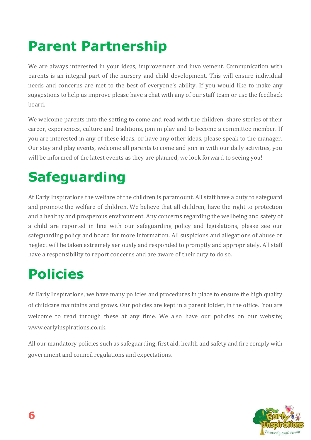### **Parent Partnership**

We are always interested in your ideas, improvement and involvement. Communication with parents is an integral part of the nursery and child development. This will ensure individual needs and concerns are met to the best of everyone's ability. If you would like to make any suggestions to help us improve please have a chat with any of our staff team or use the feedback board.

We welcome parents into the setting to come and read with the children, share stories of their career, experiences, culture and traditions, join in play and to become a committee member. If you are interested in any of these ideas, or have any other ideas, please speak to the manager. Our stay and play events, welcome all parents to come and join in with our daily activities, you will be informed of the latest events as they are planned, we look forward to seeing you!

### **Safeguarding**

At Early Inspirations the welfare of the children is paramount. All staff have a duty to safeguard and promote the welfare of children. We believe that all children, have the right to protection and a healthy and prosperous environment. Any concerns regarding the wellbeing and safety of a child are reported in line with our safeguarding policy and legislations, please see our safeguarding policy and board for more information. All suspicions and allegations of abuse or neglect will be taken extremely seriously and responded to promptly and appropriately. All staff have a responsibility to report concerns and are aware of their duty to do so.

### **Policies**

At Early Inspirations, we have many policies and procedures in place to ensure the high quality of childcare maintains and grows. Our policies are kept in a parent folder, in the office. You are welcome to read through these at any time. We also have our policies on our website; www.earlyinspirations.co.uk.

All our mandatory policies such as safeguarding, first aid, health and safety and fire comply with government and council regulations and expectations.

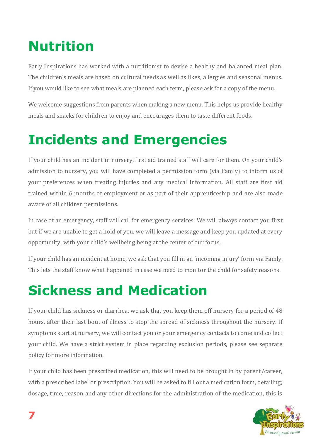### **Nutrition**

Early Inspirations has worked with a nutritionist to devise a healthy and balanced meal plan. The children's meals are based on cultural needs as well as likes, allergies and seasonal menus. If you would like to see what meals are planned each term, please ask for a copy of the menu.

We welcome suggestions from parents when making a new menu. This helps us provide healthy meals and snacks for children to enjoy and encourages them to taste different foods.

#### **Incidents and Emergencies**

If your child has an incident in nursery, first aid trained staff will care for them. On your child's admission to nursery, you will have completed a permission form (via Famly) to inform us of your preferences when treating injuries and any medical information. All staff are first aid trained within 6 months of employment or as part of their apprenticeship and are also made aware of all children permissions.

In case of an emergency, staff will call for emergency services. We will always contact you first but if we are unable to get a hold of you, we will leave a message and keep you updated at every opportunity, with your child's wellbeing being at the center of our focus.

If your child has an incident at home, we ask that you fill in an 'incoming injury' form via Famly. This lets the staff know what happened in case we need to monitor the child for safety reasons.

#### **Sickness and Medication**

If your child has sickness or diarrhea, we ask that you keep them off nursery for a period of 48 hours, after their last bout of illness to stop the spread of sickness throughout the nursery. If symptoms start at nursery, we will contact you or your emergency contacts to come and collect your child. We have a strict system in place regarding exclusion periods, please see separate policy for more information.

If your child has been prescribed medication, this will need to be brought in by parent/career, with a prescribed label or prescription. You will be asked to fill out a medication form, detailing; dosage, time, reason and any other directions for the administration of the medication, this is

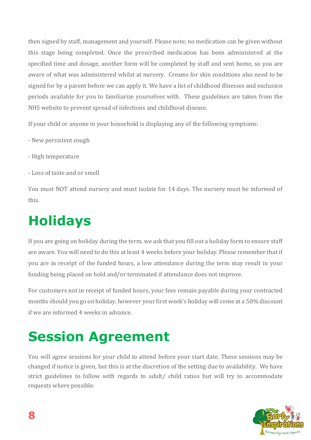then signed by staff, management and yourself. Please note; no medication can be given without this stage being completed. Once the prescribed medication has been administered at the specified time and dosage, another form will be completed by staff and sent home, so you are aware of what was administered whilst at nursery. Creams for skin conditions also need to be signed for by a parent before we can apply it. We have a list of childhood illnesses and exclusion periods available for you to familiarize yourselves with. These guidelines are taken from the NHS website to prevent spread of infections and childhood disease.

If your child or anyone in your household is displaying any of the following symptoms:

- New persistent cough
- High temperature
- Loss of taste and or smell

You must NOT attend nursery and must isolate for 14 days. The nursery must be informed of this.

### **Holidays**

If you are going on holiday during the term, we ask that you fill out a holiday form to ensure staff are aware. You will need to do this at least 4 weeks before your holiday. Please remember that if you are in receipt of the funded hours, a low attendance during the term may result in your funding being placed on hold and/or terminated if attendance does not improve.

For customers not in receipt of funded hours, your fees remain payable during your contracted months should you go on holiday, however your first week's holiday will come at a 50% discount if we are informed 4 weeks in advance.

### **Session Agreement**

You will agree sessions for your child to attend before your start date. These sessions may be changed if notice is given, but this is at the discretion of the setting due to availability. We have strict guidelines to follow with regards to adult/ child ratios but will try to accommodate requests where possible.

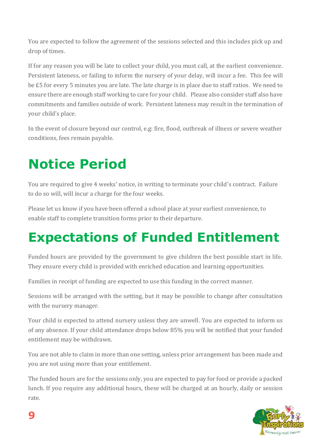You are expected to follow the agreement of the sessions selected and this includes pick up and drop of times.

If for any reason you will be late to collect your child, you must call, at the earliest convenience. Persistent lateness, or failing to inform the nursery of your delay, will incur a fee. This fee will be £5 for every 5 minutes you are late. The late charge is in place due to staff ratios. We need to ensure there are enough staff working to care for your child. Please also consider staff also have commitments and families outside of work. Persistent lateness may result in the termination of your child's place.

In the event of closure beyond our control, e.g: fire, flood, outbreak of illness or severe weather conditions, fees remain payable.

### **Notice Period**

You are required to give 4 weeks' notice, in writing to terminate your child's contract. Failure to do so will, will incur a charge for the four weeks.

Please let us know if you have been offered a school place at your earliest convenience, to enable staff to complete transition forms prior to their departure.

#### **Expectations of Funded Entitlement**

Funded hours are provided by the government to give children the best possible start in life. They ensure every child is provided with enriched education and learning opportunities.

Families in receipt of funding are expected to use this funding in the correct manner.

Sessions will be arranged with the setting, but it may be possible to change after consultation with the nursery manager.

Your child is expected to attend nursery unless they are unwell. You are expected to inform us of any absence. If your child attendance drops below 85% you will be notified that your funded entitlement may be withdrawn.

You are not able to claim in more than one setting, unless prior arrangement has been made and you are not using more than your entitlement.

The funded hours are for the sessions only, you are expected to pay for food or provide a packed lunch. If you require any additional hours, these will be charged at an hourly, daily or session rate.

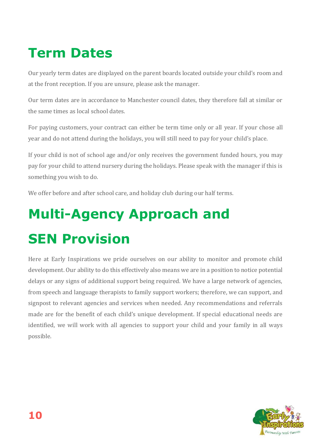### **Term Dates**

Our yearly term dates are displayed on the parent boards located outside your child's room and at the front reception. If you are unsure, please ask the manager.

Our term dates are in accordance to Manchester council dates, they therefore fall at similar or the same times as local school dates.

For paying customers, your contract can either be term time only or all year. If your chose all year and do not attend during the holidays, you will still need to pay for your child's place.

If your child is not of school age and/or only receives the government funded hours, you may pay for your child to attend nursery during the holidays. Please speak with the manager if this is something you wish to do.

We offer before and after school care, and holiday club during our half terms.

## **Multi-Agency Approach and SEN Provision**

Here at Early Inspirations we pride ourselves on our ability to monitor and promote child development. Our ability to do this effectively also means we are in a position to notice potential delays or any signs of additional support being required. We have a large network of agencies, from speech and language therapists to family support workers; therefore, we can support, and signpost to relevant agencies and services when needed. Any recommendations and referrals made are for the benefit of each child's unique development. If special educational needs are identified, we will work with all agencies to support your child and your family in all ways possible.

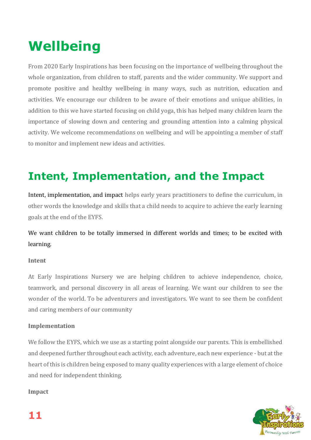### **Wellbeing**

From 2020 Early Inspirations has been focusing on the importance of wellbeing throughout the whole organization, from children to staff, parents and the wider community. We support and promote positive and healthy wellbeing in many ways, such as nutrition, education and activities. We encourage our children to be aware of their emotions and unique abilities, in addition to this we have started focusing on child yoga, this has helped many children learn the importance of slowing down and centering and grounding attention into a calming physical activity. We welcome recommendations on wellbeing and will be appointing a member of staff to monitor and implement new ideas and activities.

#### **Intent, Implementation, and the Impact**

Intent, implementation, and impact helps early years practitioners to define the curriculum, in other words the knowledge and skills that a child needs to acquire to achieve the early learning goals at the end of the EYFS.

We want children to be totally immersed in different worlds and times; to be excited with learning.

#### **Intent**

At Early Inspirations Nursery we are helping children to achieve independence, choice, teamwork, and personal discovery in all areas of learning. We want our children to see the wonder of the world. To be adventurers and investigators. We want to see them be confident and caring members of our community

#### **Implementation**

We follow the EYFS, which we use as a starting point alongside our parents. This is embellished and deepened further throughout each activity, each adventure, each new experience - but at the heart of this is children being exposed to many quality experiences with a large element of choice and need for independent thinking.

#### **Impact**

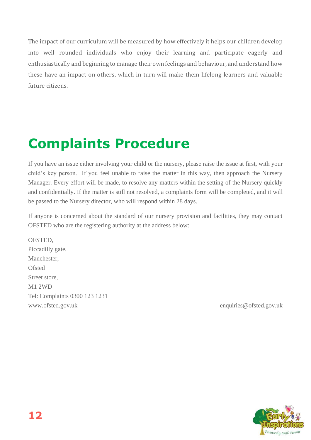The impact of our curriculum will be measured by how effectively it helps our children develop into well rounded individuals who enjoy their learning and participate eagerly and enthusiastically and beginning to manage their own feelings and behaviour, and understand how these have an impact on others, which in turn will make them lifelong learners and valuable future citizens.

### **Complaints Procedure**

If you have an issue either involving your child or the nursery, please raise the issue at first, with your child's key person. If you feel unable to raise the matter in this way, then approach the Nursery Manager. Every effort will be made, to resolve any matters within the setting of the Nursery quickly and confidentially. If the matter is still not resolved, a complaints form will be completed, and it will be passed to the Nursery director, who will respond within 28 days.

If anyone is concerned about the standard of our nursery provision and facilities, they may contact OFSTED who are the registering authority at the address below:

OFSTED, Piccadilly gate, Manchester, **Ofsted** Street store, M1 2WD Tel: Complaints 0300 123 1231 www.ofsted.gov.uk enquiries@ofsted.gov.uk